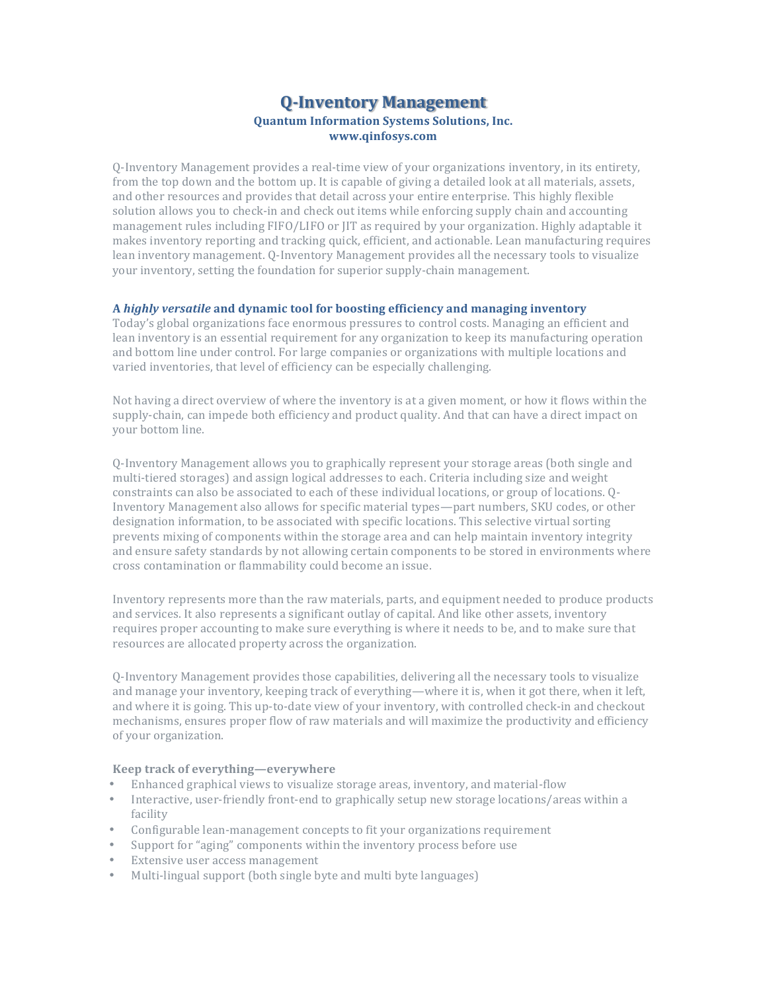# **Q-Inventory Management Quantum Information Systems Solutions, Inc. www.qinfosys.com**

O-Inventory Management provides a real-time view of your organizations inventory, in its entirety, from the top down and the bottom up. It is capable of giving a detailed look at all materials, assets, and other resources and provides that detail across your entire enterprise. This highly flexible solution allows you to check-in and check out items while enforcing supply chain and accounting management rules including FIFO/LIFO or JIT as required by your organization. Highly adaptable it makes inventory reporting and tracking quick, efficient, and actionable. Lean manufacturing requires lean inventory management. Q-Inventory Management provides all the necessary tools to visualize your inventory, setting the foundation for superior supply-chain management.

#### **A** *highly versatile* **and dynamic tool for boosting efficiency and managing inventory**

Today's global organizations face enormous pressures to control costs. Managing an efficient and lean inventory is an essential requirement for any organization to keep its manufacturing operation and bottom line under control. For large companies or organizations with multiple locations and varied inventories, that level of efficiency can be especially challenging.

Not having a direct overview of where the inventory is at a given moment, or how it flows within the supply-chain, can impede both efficiency and product quality. And that can have a direct impact on your bottom line.

Q-Inventory Management allows you to graphically represent your storage areas (both single and multi-tiered storages) and assign logical addresses to each. Criteria including size and weight constraints can also be associated to each of these individual locations, or group of locations. O-Inventory Management also allows for specific material types—part numbers, SKU codes, or other designation information, to be associated with specific locations. This selective virtual sorting prevents mixing of components within the storage area and can help maintain inventory integrity and ensure safety standards by not allowing certain components to be stored in environments where cross contamination or flammability could become an issue.

Inventory represents more than the raw materials, parts, and equipment needed to produce products and services. It also represents a significant outlay of capital. And like other assets, inventory requires proper accounting to make sure everything is where it needs to be, and to make sure that resources are allocated property across the organization.

O-Inventory Management provides those capabilities, delivering all the necessary tools to visualize and manage your inventory, keeping track of everything—where it is, when it got there, when it left, and where it is going. This up-to-date view of your inventory, with controlled check-in and checkout mechanisms, ensures proper flow of raw materials and will maximize the productivity and efficiency of your organization.

#### **Keep track of everything—everywhere**

- Enhanced graphical views to visualize storage areas, inventory, and material-flow
- Interactive, user-friendly front-end to graphically setup new storage locations/areas within a facility
- Configurable lean-management concepts to fit your organizations requirement
- Support for "aging" components within the inventory process before use
- Extensive user access management
- Multi-lingual support (both single byte and multi byte languages)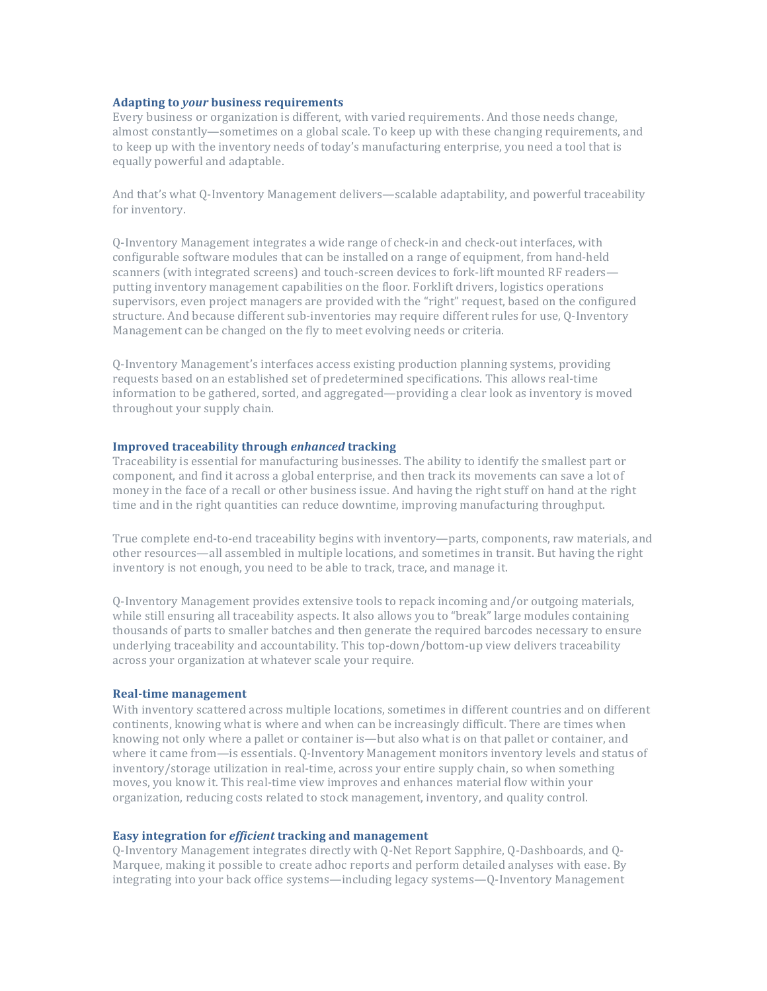### **Adapting to** *your* **business requirements**

Every business or organization is different, with varied requirements. And those needs change, almost constantly—sometimes on a global scale. To keep up with these changing requirements, and to keep up with the inventory needs of today's manufacturing enterprise, you need a tool that is equally powerful and adaptable.

And that's what O-Inventory Management delivers—scalable adaptability, and powerful traceability for inventory.

Q-Inventory Management integrates a wide range of check-in and check-out interfaces, with configurable software modules that can be installed on a range of equipment, from hand-held scanners (with integrated screens) and touch-screen devices to fork-lift mounted RF readers putting inventory management capabilities on the floor. Forklift drivers, logistics operations supervisors, even project managers are provided with the "right" request, based on the configured structure. And because different sub-inventories may require different rules for use, Q-Inventory Management can be changed on the fly to meet evolving needs or criteria.

Q-Inventory Management's interfaces access existing production planning systems, providing requests based on an established set of predetermined specifications. This allows real-time information to be gathered, sorted, and aggregated—providing a clear look as inventory is moved throughout your supply chain.

### **Improved traceability through** *enhanced* **tracking**

Traceability is essential for manufacturing businesses. The ability to identify the smallest part or component, and find it across a global enterprise, and then track its movements can save a lot of money in the face of a recall or other business issue. And having the right stuff on hand at the right time and in the right quantities can reduce downtime, improving manufacturing throughput.

True complete end-to-end traceability begins with inventory—parts, components, raw materials, and other resources—all assembled in multiple locations, and sometimes in transit. But having the right inventory is not enough, you need to be able to track, trace, and manage it.

Q-Inventory Management provides extensive tools to repack incoming and/or outgoing materials, while still ensuring all traceability aspects. It also allows you to "break" large modules containing thousands of parts to smaller batches and then generate the required barcodes necessary to ensure underlying traceability and accountability. This top-down/bottom-up view delivers traceability across your organization at whatever scale your require.

#### **Real-time management**

With inventory scattered across multiple locations, sometimes in different countries and on different continents, knowing what is where and when can be increasingly difficult. There are times when knowing not only where a pallet or container is—but also what is on that pallet or container, and where it came from—is essentials. O-Inventory Management monitors inventory levels and status of inventory/storage utilization in real-time, across your entire supply chain, so when something moves, you know it. This real-time view improves and enhances material flow within your organization, reducing costs related to stock management, inventory, and quality control.

## **Easy integration for** *efficient* **tracking and management**

Q-Inventory Management integrates directly with Q-Net Report Sapphire, Q-Dashboards, and Q-Marquee, making it possible to create adhoc reports and perform detailed analyses with ease. By integrating into your back office systems—including legacy systems—Q-Inventory Management